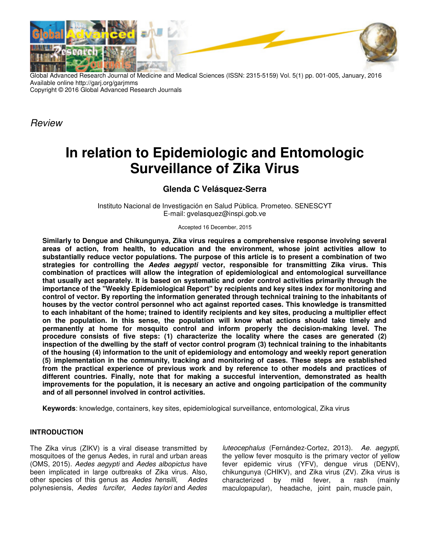

Global Advanced Research Journal of Medicine and Medical Sciences (ISSN: 2315-5159) Vol. 5(1) pp. 001-005, January, 2016 Available online http://garj.org/garjmms Copyright © 2016 Global Advanced Research Journals

Review

# **In relation to Epidemiologic and Entomologic Surveillance of Zika Virus**

# **Glenda C Velásquez-Serra**

Instituto Nacional de Investigación en Salud Pública. Prometeo. SENESCYT E-mail: gvelasquez@inspi.gob.ve

Accepted 16 December, 2015

**Similarly to Dengue and Chikungunya, Zika virus requires a comprehensive response involving several areas of action, from health, to education and the environment, whose joint activities allow to substantially reduce vector populations. The purpose of this article is to present a combination of two strategies for controlling the Aedes aegypti vector, responsible for transmitting Zika virus. This combination of practices will allow the integration of epidemiological and entomological surveillance that usually act separately. It is based on systematic and order control activities primarily through the importance of the "Weekly Epidemiological Report" by recipients and key sites index for monitoring and control of vector. By reporting the information generated through technical training to the inhabitants of houses by the vector control personnel who act against reported cases. This knowledge is transmitted to each inhabitant of the home; trained to identify recipients and key sites, producing a multiplier effect on the population. In this sense, the population will know what actions should take timely and permanently at home for mosquito control and inform properly the decision-making level. The procedure consists of five steps: (1) characterize the locality where the cases are generated (2) inspection of the dwelling by the staff of vector control program (3) technical training to the inhabitants of the housing (4) information to the unit of epidemiology and entomology and weekly report generation (5) implementation in the community, tracking and monitoring of cases. These steps are established from the practical experience of previous work and by reference to other models and practices of different countries. Finally, note that for making a succesful intervention, demonstrated as health improvements for the population, it is necesary an active and ongoing participation of the community and of all personnel involved in control activities.** 

**Keywords**: knowledge, containers, key sites, epidemiological surveillance, entomological, Zika virus

# **INTRODUCTION**

The Zika virus (ZIKV) is a viral disease transmitted by mosquitoes of the genus Aedes, in rural and urban areas (OMS, 2015). Aedes aegypti and Aedes albopictus have been implicated in large outbreaks of Zika virus. Also, other species of this genus as Aedes hensilli, Aedes polynesiensis, Aedes furcifer, Aedes taylori and Aedes

luteocephalus (Fernández-Cortez, 2013). Ae. aegypti, the yellow fever mosquito is the primary vector of yellow fever epidemic virus (YFV), dengue virus (DENV), chikungunya (CHIKV), and Zika virus (ZV). Zika virus is characterized by mild fever, a rash (mainly maculopapular), headache, joint pain, muscle pain,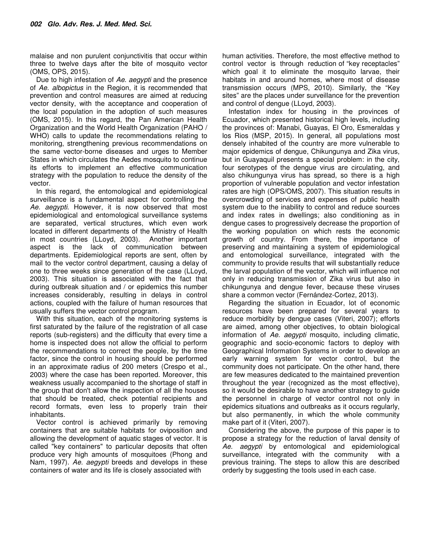malaise and non purulent conjunctivitis that occur within three to twelve days after the bite of mosquito vector (OMS, OPS, 2015).

Due to high infestation of Ae. aegypti and the presence of Ae. albopictus in the Region, it is recommended that prevention and control measures are aimed at reducing vector density, with the acceptance and cooperation of the local population in the adoption of such measures (OMS, 2015). In this regard, the Pan American Health Organization and the World Health Organization (PAHO / WHO) calls to update the recommendations relating to monitoring, strengthening previous recommendations on the same vector-borne diseases and urges to Member States in which circulates the Aedes mosquito to continue its efforts to implement an effective communication strategy with the population to reduce the density of the vector.

In this regard, the entomological and epidemiological surveillance is a fundamental aspect for controlling the Ae. aegypti. However, it is now observed that most epidemiological and entomological surveillance systems are separated, vertical structures, which even work located in different departments of the Ministry of Health in most countries (LLoyd, 2003). Another important aspect is the lack of communication between departments. Epidemiological reports are sent, often by mail to the vector control department, causing a delay of one to three weeks since generation of the case (LLoyd, 2003). This situation is associated with the fact that during outbreak situation and / or epidemics this number increases considerably, resulting in delays in control actions, coupled with the failure of human resources that usually suffers the vector control program.

With this situation, each of the monitoring systems is first saturated by the failure of the registration of all case reports (sub-registers) and the difficulty that every time a home is inspected does not allow the official to perform the recommendations to correct the people, by the time factor, since the control in housing should be performed in an approximate radius of 200 meters (Crespo et al., 2003) where the case has been reported. Moreover, this weakness usually accompanied to the shortage of staff in the group that don't allow the inspection of all the houses that should be treated, check potential recipients and record formats, even less to properly train their inhabitants.

Vector control is achieved primarily by removing containers that are suitable habitats for oviposition and allowing the development of aquatic stages of vector. It is called "key containers" to particular deposits that often produce very high amounts of mosquitoes (Phong and Nam, 1997). Ae. aegypti breeds and develops in these containers of water and its life is closely associated with

human activities. Therefore, the most effective method to control vector is through reduction of "key receptacles" which goal it to eliminate the mosquito larvae, their habitats in and around homes, where most of disease transmission occurs (MPS, 2010). Similarly, the "Key sites" are the places under surveillance for the prevention and control of dengue (LLoyd, 2003).

Infestation index for housing in the provinces of Ecuador, which presented historical high levels, including the provinces of: Manabi, Guayas, El Oro, Esmeraldas y los Rios (MSP, 2015). In general, all populations most densely inhabited of the country are more vulnerable to major epidemics of dengue, Chikungunya and Zika virus, but in Guayaquil presents a special problem: in the city, four serotypes of the dengue virus are circulating, and also chikungunya virus has spread, so there is a high proportion of vulnerable population and vector infestation rates are high (OPS/OMS, 2007). This situation results in overcrowding of services and expenses of public health system due to the inability to control and reduce sources and index rates in dwellings; also conditioning as in dengue cases to progressively decrease the proportion of the working population on which rests the economic growth of country. From there, the importance of preserving and maintaining a system of epidemiological and entomological surveillance, integrated with the community to provide results that will substantially reduce the larval population of the vector, which will influence not only in reducing transmission of Zika virus but also in chikungunya and dengue fever, because these viruses share a common vector (Fernández-Cortez, 2013).

Regarding the situation in Ecuador, lot of economic resources have been prepared for several years to reduce morbidity by dengue cases (Viteri, 2007); efforts are aimed, among other objectives, to obtain biological information of Ae. aegypti mosquito, including climatic, geographic and socio-economic factors to deploy with Geographical Information Systems in order to develop an early warning system for vector control, but the community does not participate. On the other hand, there are few measures dedicated to the maintained prevention throughout the year (recognized as the most effective), so it would be desirable to have another strategy to guide the personnel in charge of vector control not only in epidemics situations and outbreaks as it occurs regularly, but also permanently, in which the whole community make part of it (Viteri, 2007).

Considering the above, the purpose of this paper is to propose a strategy for the reduction of larval density of Ae. aegypti by entomological and epidemiological surveillance, integrated with the community with a previous training. The steps to allow this are described orderly by suggesting the tools used in each case.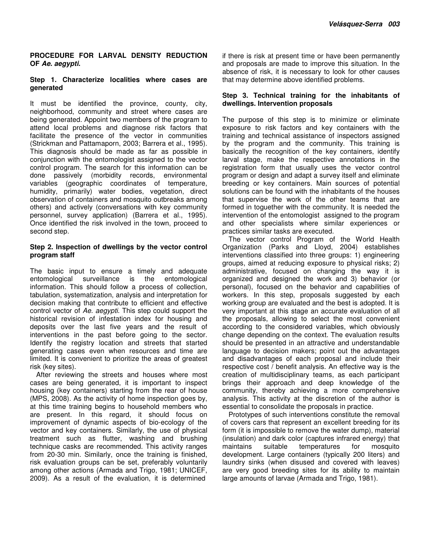## **PROCEDURE FOR LARVAL DENSITY REDUCTION OF Ae. aegypti.**

## **Step 1. Characterize localities where cases are generated**

It must be identified the province, county, city, neighborhood, community and street where cases are being generated. Appoint two members of the program to attend local problems and diagnose risk factors that facilitate the presence of the vector in communities (Strickman and Pattamaporn, 2003; Barrera et al., 1995). This diagnosis should be made as far as possible in conjunction with the entomologist assigned to the vector control program. The search for this information can be done passively (morbidity records, environmental variables (geographic coordinates of temperature, humidity, primarily) water bodies, vegetation, direct observation of containers and mosquito outbreaks among others) and actively (conversations with key community personnel, survey application) (Barrera et al., 1995). Once identified the risk involved in the town, proceed to second step.

#### **Step 2. Inspection of dwellings by the vector control program staff**

The basic input to ensure a timely and adequate<br>entomological surveillance is the entomological entomological surveillance is the entomological information. This should follow a process of collection, tabulation, systematization, analysis and interpretation for decision making that contribute to efficient and effective control vector of Ae. aegypti. This step could support the historical revision of infestation index for housing and deposits over the last five years and the result of interventions in the past before going to the sector. Identify the registry location and streets that started generating cases even when resources and time are limited. It is convenient to prioritize the areas of greatest risk (key sites).

After reviewing the streets and houses where most cases are being generated, it is important to inspect housing (key containers) starting from the rear of house (MPS, 2008). As the activity of home inspection goes by, at this time training begins to household members who are present. In this regard, it should focus on improvement of dynamic aspects of bio-ecology of the vector and key containers. Similarly, the use of physical treatment such as flutter, washing and brushing technique casks are recommended. This activity ranges from 20-30 min. Similarly, once the training is finished, risk evaluation groups can be set, preferably voluntarily among other actions (Armada and Trigo, 1981; UNICEF, 2009). As a result of the evaluation, it is determined

if there is risk at present time or have been permanently and proposals are made to improve this situation. In the absence of risk, it is necessary to look for other causes that may determine above identified problems.

# **Step 3. Technical training for the inhabitants of dwellings. Intervention proposals**

The purpose of this step is to minimize or eliminate exposure to risk factors and key containers with the training and technical assistance of inspectors assigned by the program and the community. This training is basically the recognition of the key containers, identify larval stage, make the respective annotations in the registration form that usually uses the vector control program or design and adapt a survey itself and eliminate breeding or key containers. Main sources of potential solutions can be found with the inhabitants of the houses that supervise the work of the other teams that are formed in toguether with the community. It is needed the intervention of the entomologist assigned to the program and other specialists where similar experiences or practices similar tasks are executed.

The vector control Program of the World Health Organization (Parks and Lloyd, 2004) establishes interventions classified into three groups: 1) engineering groups, aimed at reducing exposure to physical risks; 2) administrative, focused on changing the way it is organized and designed the work and 3) behavior (or personal), focused on the behavior and capabilities of workers. In this step, proposals suggested by each working group are evaluated and the best is adopted. It is very important at this stage an accurate evaluation of all the proposals, allowing to select the most convenient according to the considered variables, which obviously change depending on the context. The evaluation results should be presented in an attractive and understandable language to decision makers; point out the advantages and disadvantages of each proposal and include their respective cost / benefit analysis. An effective way is the creation of multidisciplinary teams, as each participant brings their approach and deep knowledge of the community, thereby achieving a more comprehensive analysis. This activity at the discretion of the author is essential to consolidate the proposals in practice.

Prototypes of such interventions constitute the removal of covers cars that represent an excellent breeding for its form (it is impossible to remove the water dump), material (insulation) and dark color (captures infrared energy) that maintains suitable temperatures for mosquito development. Large containers (typically 200 liters) and laundry sinks (when disused and covered with leaves) are very good breeding sites for its ability to maintain large amounts of larvae (Armada and Trigo, 1981).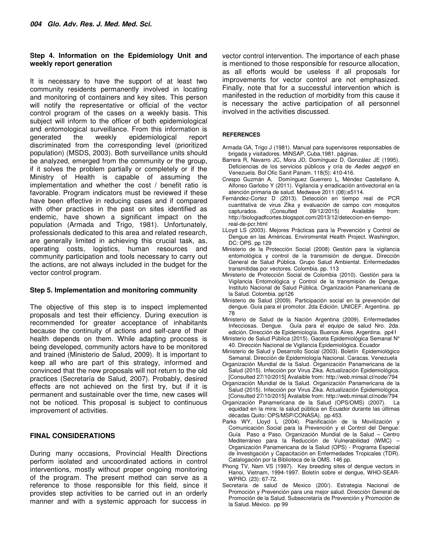#### **Step 4. Information on the Epidemiology Unit and weekly report generation**

It is necessary to have the support of at least two community residents permanently involved in locating and monitoring of containers and key sites. This person will notify the representative or official of the vector control program of the cases on a weekly basis. This subject will inform to the officer of both epidemiological and entomological surveillance. From this information is generated the weekly epidemiological report discriminated from the corresponding level (prioritized population) (MSDS, 2003). Both surveillance units should be analyzed, emerged from the community or the group, if it solves the problem partially or completely or if the Ministry of Health is capable of assuming the implementation and whether the cost / benefit ratio is favorable. Program indicators must be reviewed if these have been effective in reducing cases and if compared with other practices in the past on sites identified as endemic, have shown a significant impact on the population (Armada and Trigo, 1981). Unfortunately, professionals dedicated to this area and related research, are generally limited in achieving this crucial task, as, operating costs, logistics, human resources and community participation and tools necessary to carry out the actions, are not always included in the budget for the vector control program.

### **Step 5. Implementation and monitoring community**

The objective of this step is to inspect implemented proposals and test their efficiency. During execution is recommended for greater acceptance of inhabitants because the continuity of actions and self-care of their health depends on them. While adapting proccess is being developed, community actors have to be monitored and trained (Ministerio de Salud, 2009). It is important to keep all who are part of this strategy, informed and convinced that the new proposals will not return to the old practices (Secretaría de Salud, 2007). Probably, desired effects are not achieved on the first try, but if it is permanent and sustainable over the time, new cases will not be noticed. This proposal is subject to continuous improvement of activities.

## **FINAL CONSIDERATIONS**

During many occasions, Provincial Health Directions perform isolated and uncoordinated actions in control interventions, mostly without proper ongoing monitoring of the program. The present method can serve as a reference to those responsible for this field, since it provides step activities to be carried out in an orderly manner and with a systemic approach for success in

vector control intervention. The importance of each phase is mentioned to those responsible for resource allocation, as all efforts would be useless if all proposals for improvements for vector control are not emphasized. Finally, note that for a successful intervention which is manifested in the reduction of morbidity from this cause it is necessary the active participation of all personnel involved in the activities discussed.

#### **REFERENCES**

- Armada GA, Trigo J (1981). Manual para supervisores responsables de brigada y visitadores. MINSAP, Cuba.1981. páginas.
- Barrera R, Navarro JC, Mora JD, Domínguez D, González JE (1995). Deficiencias de los servicios públicos y cría de Aedes aegypti en Venezuela. Bol Ofic Sanit Panam. 118(5): 410-416.
- Crespo Guzmán A, Domínguez Guerrero L, Méndez Castellano A, Alfonso Garlobo Y (2011). Vigilancia y erradicación antivectorial en la atención primaria de salud. Medwave 2011 (08):e5114.
- Fernández-Cortez D (2013). Detección en tiempo real de PCR cuantitativa de virus Zika y evaluación de campo con mosquitos capturados. (Consulted 09/12/2015) Avalaible from: http://biologiadfcortes.blogspot.com/2013/12/deteccion-en-tiemporeal-de-pcr.html
- LLoyd LS (2003). Mejores Prácticas para la Prevención y Control de Dengue en las Américas. Enviromental Health Project. Washington, DC: OPS. pp 129
- Ministerio de la Protección Social (2008) Gestión para la vigilancia entomológica y control de la transmisión de dengue. Dirección General de Salud Pública. Grupo Salud Ambiental. Enfermedades transmitidas por vectores. Colombia. pp. 113
- Ministerio de Protección Social de Colombia (2010). Gestión para la Vigilancia Entomológica y Control de la transmisión de Dengue. Instituto Nacional de Salud Pública. Organización Panamericana de la Salud. Colombia. pp126
- Ministerio de Salud (2009). Participación social en la prevención del dengue. Guía para el promotor. 2da Edición. UNICEF. Argentina. pp 78
- Ministerio de Salud de la Nación Argentina (2009). Enfermedades Infecciosas. Dengue. Guía para el equipo de salud Nro. 2da. edición. Dirección de Epidemiología. Buenos Aires. Argentina. pp41
- Ministerio de Salud Pública (2015). Gaceta Epidemiológica Semanal N° 40. Dirección Nacional de Vigilancia Epidemiológica. Ecuador
- Ministerio de Salud y Desarrollo Social (2003). Boletín Epidemiológico Semanal. Dirección de Epidemiología Nacional. Caracas. Venezuela
- Organización Mundial de la Salud. Organización Panamericana de la Salud (2015). Infección por Virus Zika. Actualización Epidemiológica. [Consulted 27/10/2015] Avalaible from: http://web.minsal.cl/node/794
- Organización Mundial de la Salud. Organización Panamericana de la Salud (2015). Infección por Virus Zika. Actualización Epidemiológica. [Consulted 27/10/2015] Avalaible from: http://web.minsal.cl/node/794
- Organización Panamericana de la Salud (OPS/OMS) (2007). La equidad en la mira: la salud pública en Ecuador durante las últimas décadas Quito: OPS/MSP/CONASA). pp 453.
- Parks WY, Lloyd L (2004). Planificación de la Movilización y Comunicación Social para la Prevención y el Control del Dengue: Guía Paso a Paso. Organización Mundial de la Salud – Centro Mediterráneo para la Reducción de Vulnerabilidad (WMC) – Organización Panamericana de la Salud (OPS) - Programa Especial de Investigación y Capacitación en Enfermedades Tropicales (TDR). Catalogación por la Biblioteca de la OMS. 146 pp.
- Phong TV, Nam VS (1997). Key breeding sites of dengue vectors in Hanoi, Vietnam, 1994-1997. Boletín sobre el dengue, WHO-SEAR-WPRO. (23): 67-72.
- Secretaria de salud de Mexico (200/). Estrategia Nacional de Promoción y Prevención para una mejor salud. Dirección General de Promoción de la Salud. Subsecretaría de Prevención y Promoción de la Salud. México. pp 99